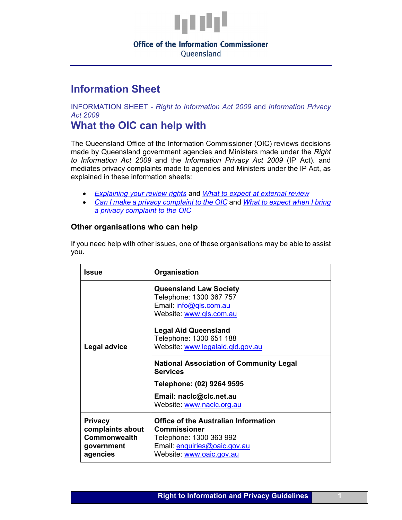

# **Office of the Information Commissioner**

Oueensland

## **Information Sheet**

INFORMATION SHEET - *Right to Information Act 2009* and *Information Privacy Act 2009*

### **What the OIC can help with**

The Queensland Office of the Information Commissioner (OIC) reviews decisions made by Queensland government agencies and Ministers made under the *Right to Information Act 2009* and the *Information Privacy Act 2009* (IP Act). and mediates privacy complaints made to agencies and Ministers under the IP Act, as explained in these information sheets:

- *[Explaining your](https://www.oic.qld.gov.au/guidelines/for-community-members/information-sheets-access-and-amendment/explaining-your-review-rights-a-guide-for-applicants) review rights* and *[What to expect at external review](https://www.oic.qld.gov.au/guidelines/for-community-members/information-sheets-access-and-amendment/what-to-expect-at-external-review)*
- *Can I make [a privacy complaint to the OIC](https://www.oic.qld.gov.au/guidelines/for-community-members/Information-sheets-privacy-principles/can-i-make-a-privacy-complaint-to-oic-a-checklist-for-complainants)* and *[What to expect when I bring](https://www.oic.qld.gov.au/guidelines/for-community-members/Information-sheets-privacy-principles/what-to-expect-when-you-bring-a-privacy-complaint-to-oic-a-guide-for-complainants)  [a privacy complaint to the OIC](https://www.oic.qld.gov.au/guidelines/for-community-members/Information-sheets-privacy-principles/what-to-expect-when-you-bring-a-privacy-complaint-to-oic-a-guide-for-complainants)*

### **Other organisations who can help**

If you need help with other issues, one of these organisations may be able to assist you.

| <b>Issue</b>                                                                        | Organisation                                                                                                                                              |
|-------------------------------------------------------------------------------------|-----------------------------------------------------------------------------------------------------------------------------------------------------------|
| <b>Legal advice</b>                                                                 | <b>Queensland Law Society</b><br>Telephone: 1300 367 757<br>Email: info@gls.com.au<br>Website: www.qls.com.au                                             |
|                                                                                     | <b>Legal Aid Queensland</b><br>Telephone: 1300 651 188<br>Website: www.legalaid.qld.gov.au                                                                |
|                                                                                     | <b>National Association of Community Legal</b><br><b>Services</b>                                                                                         |
|                                                                                     | Telephone: (02) 9264 9595                                                                                                                                 |
|                                                                                     | Email: naclc@clc.net.au<br>Website: www.naclc.org.au                                                                                                      |
| <b>Privacy</b><br>complaints about<br><b>Commonwealth</b><br>government<br>agencies | <b>Office of the Australian Information</b><br><b>Commissioner</b><br>Telephone: 1300 363 992<br>Email: enquiries@oaic.gov.au<br>Website: www.oaic.gov.au |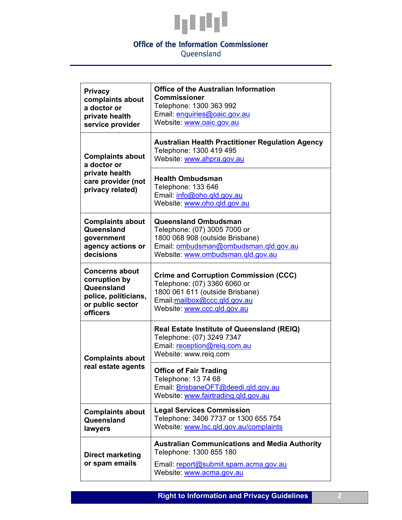

### **Office of the Information Commissioner**

Queensland

| <b>Privacy</b><br>complaints about<br>a doctor or<br>private health<br>service provider                      | <b>Office of the Australian Information</b><br><b>Commissioner</b><br>Telephone: 1300 363 992<br>Email: enquiries@oaic.gov.au<br>Website: www.oaic.gov.au                      |
|--------------------------------------------------------------------------------------------------------------|--------------------------------------------------------------------------------------------------------------------------------------------------------------------------------|
| <b>Complaints about</b><br>a doctor or<br>private health<br>care provider (not<br>privacy related)           | <b>Australian Health Practitioner Regulation Agency</b><br>Telephone: 1300 419 495<br>Website: www.ahpra.gov.au                                                                |
|                                                                                                              | <b>Health Ombudsman</b><br>Telephone: 133 646<br>Email: info@oho.qld.gov.au<br>Website: www.oho.gld.gov.au                                                                     |
| <b>Complaints about</b><br>Queensland<br>government<br>agency actions or<br>decisions                        | <b>Queensland Ombudsman</b><br>Telephone: (07) 3005 7000 or<br>1800 068 908 (outside Brisbane)<br>Email: ombudsman@ombudsman.qld.gov.au<br>Website: www.ombudsman.qld.gov.au   |
| <b>Concerns about</b><br>corruption by<br>Queensland<br>police, politicians,<br>or public sector<br>officers | <b>Crime and Corruption Commission (CCC)</b><br>Telephone: (07) 3360 6060 or<br>1800 061 611 (outside Brisbane)<br>Email:mailbox@ccc.qld.gov.au<br>Website: www.ccc.qld.gov.au |
| <b>Complaints about</b><br>real estate agents                                                                | <b>Real Estate Institute of Queensland (REIQ)</b><br>Telephone: (07) 3249 7347<br>Email: reception@reig.com.au<br>Website: www.reiq.com                                        |
|                                                                                                              | <b>Office of Fair Trading</b><br>Telephone: 13 74 68<br>Email: BrisbaneOFT@deedi.qld.gov.au<br>Website: www.fairtrading.gld.gov.au                                             |
| <b>Complaints about</b><br>Queensland<br>lawyers                                                             | <b>Legal Services Commission</b><br>Telephone: 3406 7737 or 1300 655 754<br>Website: www.lsc.qld.gov.au/complaints                                                             |
| <b>Direct marketing</b><br>or spam emails                                                                    | <b>Australian Communications and Media Authority</b><br>Telephone: 1300 855 180<br>Email: report@submit.spam.acma.gov.au<br>Website: www.acma.gov.au                           |